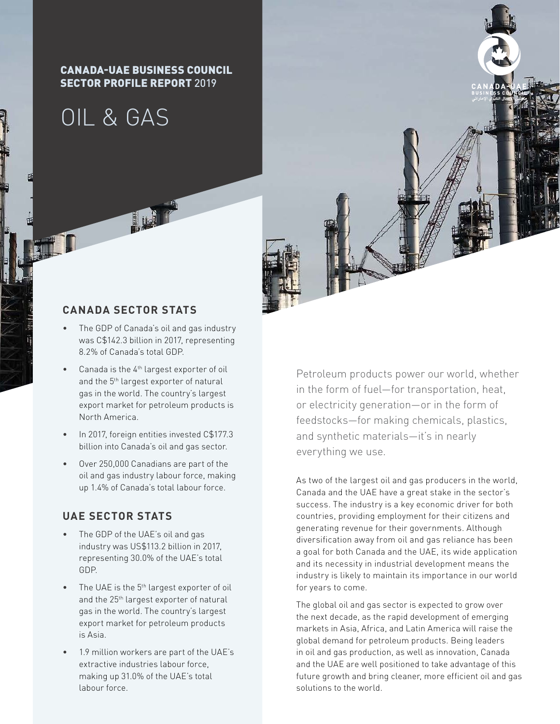#### CANADA-UAE BUSINESS COUNCIL SECTOR PROFILE REPORT 2019

# OIL & GAS



#### **CANADA SECTOR STATS**

- The GDP of Canada's oil and gas industry was C\$142.3 billion in 2017, representing 8.2% of Canada's total GDP.
- Canada is the  $4<sup>th</sup>$  largest exporter of oil and the 5<sup>th</sup> largest exporter of natural gas in the world. The country's largest export market for petroleum products is North America.
- In 2017, foreign entities invested C\$177.3 billion into Canada's oil and gas sector.
- Over 250,000 Canadians are part of the oil and gas industry labour force, making up 1.4% of Canada's total labour force.

### **UAE SECTOR STATS**

- The GDP of the UAE's oil and gas industry was US\$113.2 billion in 2017, representing 30.0% of the UAE's total GDP.
- The UAE is the 5<sup>th</sup> largest exporter of oil and the 25<sup>th</sup> largest exporter of natural gas in the world. The country's largest export market for petroleum products is Asia.
- 1.9 million workers are part of the UAE's extractive industries labour force, making up 31.0% of the UAE's total labour force.

Petroleum products power our world, whether in the form of fuel—for transportation, heat, or electricity generation—or in the form of feedstocks—for making chemicals, plastics, and synthetic materials—it's in nearly everything we use.

As two of the largest oil and gas producers in the world, Canada and the UAE have a great stake in the sector's success. The industry is a key economic driver for both countries, providing employment for their citizens and generating revenue for their governments. Although diversification away from oil and gas reliance has been a goal for both Canada and the UAE, its wide application and its necessity in industrial development means the industry is likely to maintain its importance in our world for years to come.

The global oil and gas sector is expected to grow over the next decade, as the rapid development of emerging markets in Asia, Africa, and Latin America will raise the global demand for petroleum products. Being leaders in oil and gas production, as well as innovation, Canada and the UAE are well positioned to take advantage of this future growth and bring cleaner, more efficient oil and gas solutions to the world.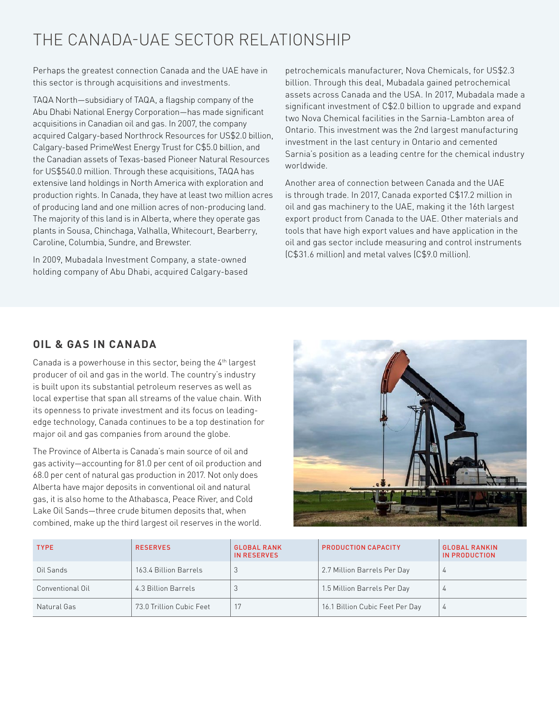# THE CANADA-UAE SECTOR RELATIONSHIP

Perhaps the greatest connection Canada and the UAE have in this sector is through acquisitions and investments.

TAQA North—subsidiary of TAQA, a flagship company of the Abu Dhabi National Energy Corporation—has made significant acquisitions in Canadian oil and gas. In 2007, the company acquired Calgary-based Northrock Resources for US\$2.0 billion, Calgary-based PrimeWest Energy Trust for C\$5.0 billion, and the Canadian assets of Texas-based Pioneer Natural Resources for US\$540.0 million. Through these acquisitions, TAQA has extensive land holdings in North America with exploration and production rights. In Canada, they have at least two million acres of producing land and one million acres of non-producing land. The majority of this land is in Alberta, where they operate gas plants in Sousa, Chinchaga, Valhalla, Whitecourt, Bearberry, Caroline, Columbia, Sundre, and Brewster.

In 2009, Mubadala Investment Company, a state-owned holding company of Abu Dhabi, acquired Calgary-based

petrochemicals manufacturer, Nova Chemicals, for US\$2.3 billion. Through this deal, Mubadala gained petrochemical assets across Canada and the USA. In 2017, Mubadala made a significant investment of C\$2.0 billion to upgrade and expand two Nova Chemical facilities in the Sarnia-Lambton area of Ontario. This investment was the 2nd largest manufacturing investment in the last century in Ontario and cemented Sarnia's position as a leading centre for the chemical industry worldwide.

Another area of connection between Canada and the UAE is through trade. In 2017, Canada exported C\$17.2 million in oil and gas machinery to the UAE, making it the 16th largest export product from Canada to the UAE. Other materials and tools that have high export values and have application in the oil and gas sector include measuring and control instruments (C\$31.6 million) and metal valves (C\$9.0 million).

## **OIL & GAS IN CANADA**

Canada is a powerhouse in this sector, being the 4th largest producer of oil and gas in the world. The country's industry is built upon its substantial petroleum reserves as well as local expertise that span all streams of the value chain. With its openness to private investment and its focus on leadingedge technology, Canada continues to be a top destination for major oil and gas companies from around the globe.

The Province of Alberta is Canada's main source of oil and gas activity—accounting for 81.0 per cent of oil production and 68.0 per cent of natural gas production in 2017. Not only does Alberta have major deposits in conventional oil and natural gas, it is also home to the Athabasca, Peace River, and Cold Lake Oil Sands—three crude bitumen deposits that, when combined, make up the third largest oil reserves in the world.



| <b>TYPE</b>      | <b>RESERVES</b>          | <b>GLOBAL RANK</b><br><b>IN RESERVES</b> | <b>PRODUCTION CAPACITY</b>      | <b>GLOBAL RANKIN</b><br>IN PRODUCTION |
|------------------|--------------------------|------------------------------------------|---------------------------------|---------------------------------------|
| Oil Sands        | 163.4 Billion Barrels    |                                          | 2.7 Million Barrels Per Day     | $\overline{4}$                        |
| Conventional Oil | 4.3 Billion Barrels      |                                          | 1.5 Million Barrels Per Day     | 4                                     |
| Natural Gas      | 73.0 Trillion Cubic Feet |                                          | 16.1 Billion Cubic Feet Per Day | 4                                     |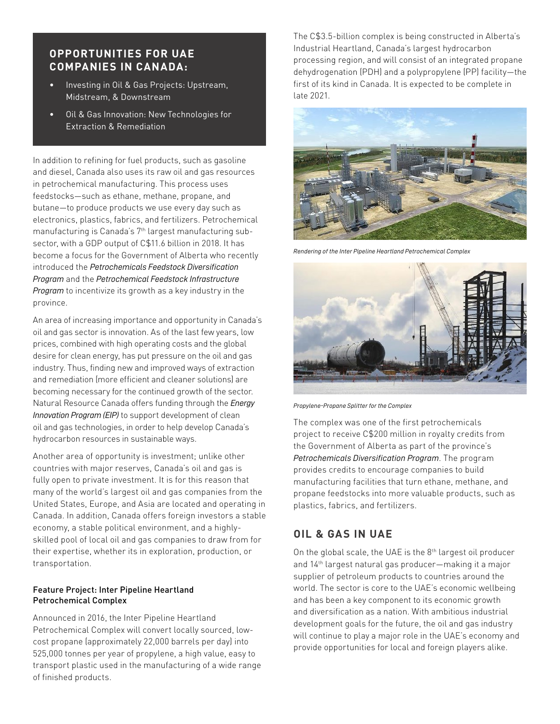#### **OPPORTUNITIES FOR UAE COMPANIES IN CANADA:**

- Investing in Oil & Gas Projects: Upstream, Midstream, & Downstream
- Oil & Gas Innovation: New Technologies for Extraction & Remediation

In addition to refining for fuel products, such as gasoline and diesel, Canada also uses its raw oil and gas resources in petrochemical manufacturing. This process uses feedstocks—such as ethane, methane, propane, and butane—to produce products we use every day such as electronics, plastics, fabrics, and fertilizers. Petrochemical manufacturing is Canada's 7<sup>th</sup> largest manufacturing subsector, with a GDP output of C\$11.6 billion in 2018. It has become a focus for the Government of Alberta who recently introduced the *Petrochemicals Feedstock Diversification Program* and the *Petrochemical Feedstock Infrastructure Program* to incentivize its growth as a key industry in the province.

An area of increasing importance and opportunity in Canada's oil and gas sector is innovation. As of the last few years, low prices, combined with high operating costs and the global desire for clean energy, has put pressure on the oil and gas industry. Thus, finding new and improved ways of extraction and remediation (more efficient and cleaner solutions) are becoming necessary for the continued growth of the sector. Natural Resource Canada offers funding through the *Energy Innovation Program (EIP)* to support development of clean oil and gas technologies, in order to help develop Canada's hydrocarbon resources in sustainable ways.

Another area of opportunity is investment; unlike other countries with major reserves, Canada's oil and gas is fully open to private investment. It is for this reason that many of the world's largest oil and gas companies from the United States, Europe, and Asia are located and operating in Canada. In addition, Canada offers foreign investors a stable economy, a stable political environment, and a highlyskilled pool of local oil and gas companies to draw from for their expertise, whether its in exploration, production, or transportation.

#### Feature Project: Inter Pipeline Heartland Petrochemical Complex

Announced in 2016, the Inter Pipeline Heartland Petrochemical Complex will convert locally sourced, lowcost propane (approximately 22,000 barrels per day) into 525,000 tonnes per year of propylene, a high value, easy to transport plastic used in the manufacturing of a wide range of finished products.

The C\$3.5-billion complex is being constructed in Alberta's Industrial Heartland, Canada's largest hydrocarbon processing region, and will consist of an integrated propane dehydrogenation (PDH) and a polypropylene (PP) facility—the first of its kind in Canada. It is expected to be complete in late 2021.



*Rendering of the Inter Pipeline Heartland Petrochemical Complex* 



*Propylene-Propane Splitter for the Complex*

The complex was one of the first petrochemicals project to receive C\$200 million in royalty credits from the Government of Alberta as part of the province's *Petrochemicals Diversification Program*. The program provides credits to encourage companies to build manufacturing facilities that turn ethane, methane, and propane feedstocks into more valuable products, such as plastics, fabrics, and fertilizers.

### **OIL & GAS IN UAE**

On the global scale, the UAE is the 8<sup>th</sup> largest oil producer and 14th largest natural gas producer—making it a major supplier of petroleum products to countries around the world. The sector is core to the UAE's economic wellbeing and has been a key component to its economic growth and diversification as a nation. With ambitious industrial development goals for the future, the oil and gas industry will continue to play a major role in the UAE's economy and provide opportunities for local and foreign players alike.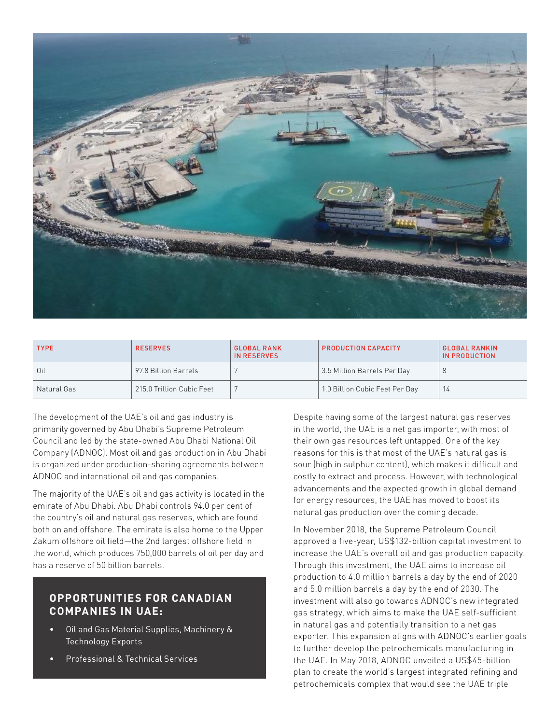

| <b>TYPE</b> | <b>RESERVES</b>           | <b>GLOBAL RANK</b><br>IN RESERVES | <b>PRODUCTION CAPACITY</b>     | <b>GLOBAL RANKIN</b><br>IN PRODUCTION |
|-------------|---------------------------|-----------------------------------|--------------------------------|---------------------------------------|
| Oil         | 97.8 Billion Barrels      |                                   | 3.5 Million Barrels Per Day    |                                       |
| Natural Gas | 215.0 Trillion Cubic Feet |                                   | 1.0 Billion Cubic Feet Per Day |                                       |

The development of the UAE's oil and gas industry is primarily governed by Abu Dhabi's Supreme Petroleum Council and led by the state-owned Abu Dhabi National Oil Company (ADNOC). Most oil and gas production in Abu Dhabi is organized under production-sharing agreements between ADNOC and international oil and gas companies.

The majority of the UAE's oil and gas activity is located in the emirate of Abu Dhabi. Abu Dhabi controls 94.0 per cent of the country's oil and natural gas reserves, which are found both on and offshore. The emirate is also home to the Upper Zakum offshore oil field—the 2nd largest offshore field in the world, which produces 750,000 barrels of oil per day and has a reserve of 50 billion barrels.

#### **OPPORTUNITIES FOR CANADIAN COMPANIES IN UAE:**

- Oil and Gas Material Supplies, Machinery & Technology Exports
- Professional & Technical Services

Despite having some of the largest natural gas reserves in the world, the UAE is a net gas importer, with most of their own gas resources left untapped. One of the key reasons for this is that most of the UAE's natural gas is sour (high in sulphur content), which makes it difficult and costly to extract and process. However, with technological advancements and the expected growth in global demand for energy resources, the UAE has moved to boost its natural gas production over the coming decade.

In November 2018, the Supreme Petroleum Council approved a five-year, US\$132-billion capital investment to increase the UAE's overall oil and gas production capacity. Through this investment, the UAE aims to increase oil production to 4.0 million barrels a day by the end of 2020 and 5.0 million barrels a day by the end of 2030. The investment will also go towards ADNOC's new integrated gas strategy, which aims to make the UAE self-sufficient in natural gas and potentially transition to a net gas exporter. This expansion aligns with ADNOC's earlier goals to further develop the petrochemicals manufacturing in the UAE. In May 2018, ADNOC unveiled a US\$45-billion plan to create the world's largest integrated refining and petrochemicals complex that would see the UAE triple